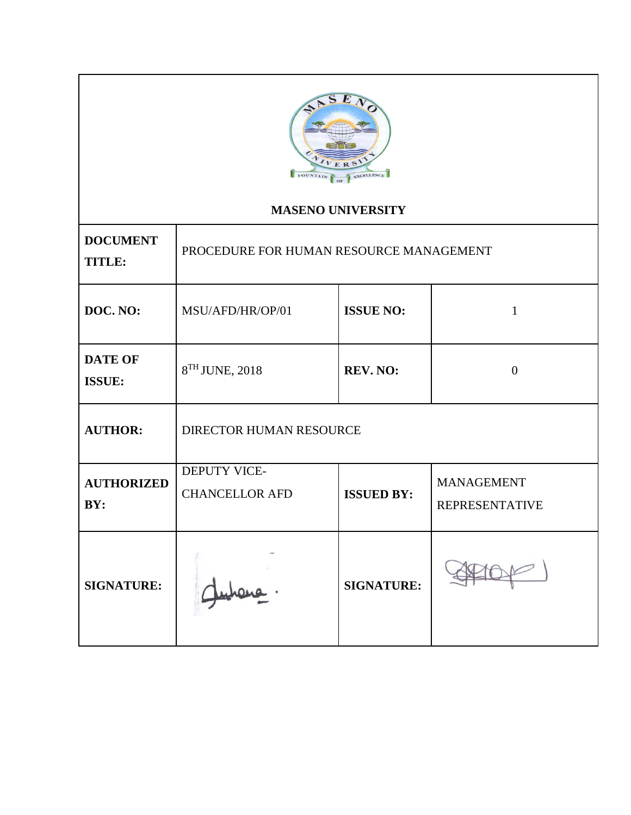

## **MASENO UNIVERSITY**

| <b>DOCUMENT</b><br><b>TITLE:</b> | PROCEDURE FOR HUMAN RESOURCE MANAGEMENT              |                   |                                            |  |  |  |  |
|----------------------------------|------------------------------------------------------|-------------------|--------------------------------------------|--|--|--|--|
| DOC. NO:                         | <b>ISSUE NO:</b><br>MSU/AFD/HR/OP/01<br>$\mathbf{1}$ |                   |                                            |  |  |  |  |
| <b>DATE OF</b><br><b>ISSUE:</b>  | 8TH JUNE, 2018                                       | <b>REV. NO:</b>   | $\theta$                                   |  |  |  |  |
| <b>AUTHOR:</b>                   | <b>DIRECTOR HUMAN RESOURCE</b>                       |                   |                                            |  |  |  |  |
| <b>AUTHORIZED</b><br>BY:         | DEPUTY VICE-<br><b>CHANCELLOR AFD</b>                | <b>ISSUED BY:</b> | <b>MANAGEMENT</b><br><b>REPRESENTATIVE</b> |  |  |  |  |
| <b>SIGNATURE:</b>                |                                                      | <b>SIGNATURE:</b> |                                            |  |  |  |  |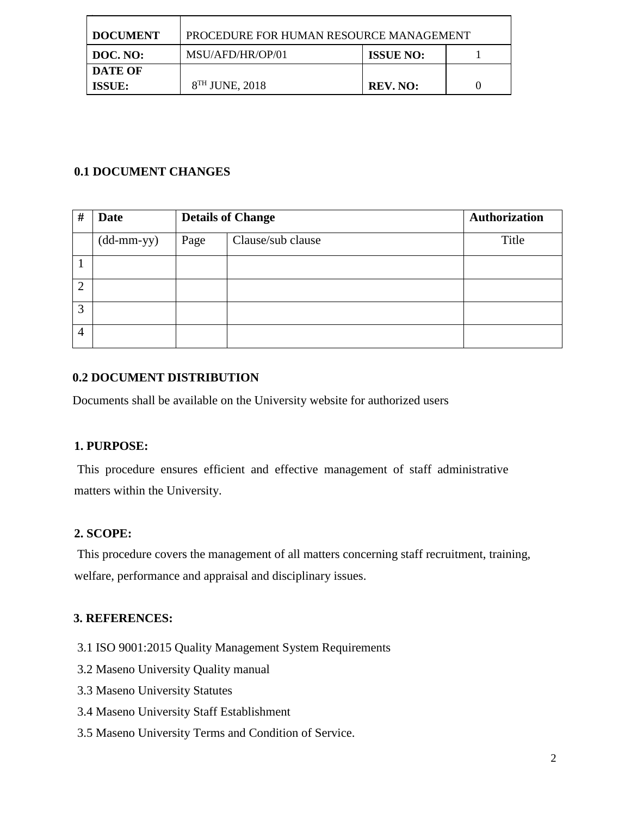| <b>DOCUMENT</b>          | PROCEDURE FOR HUMAN RESOURCE MANAGEMENT |                  |  |
|--------------------------|-----------------------------------------|------------------|--|
| DOC. NO:                 | MSU/AFD/HR/OP/01                        | <b>ISSUE NO:</b> |  |
| DATE OF<br><b>ISSUE:</b> | $8TH$ JUNE, 2018                        | REV. NO:         |  |

## **0.1 DOCUMENT CHANGES**

| #              | <b>Date</b>                                |      | <b>Details of Change</b> | <b>Authorization</b> |
|----------------|--------------------------------------------|------|--------------------------|----------------------|
|                | $(dd{\text{-}\!\!\,\text{mm-}}\mathrm{yy}$ | Page | Clause/sub clause        | Title                |
|                |                                            |      |                          |                      |
| $\overline{2}$ |                                            |      |                          |                      |
| 3              |                                            |      |                          |                      |
| $\overline{4}$ |                                            |      |                          |                      |

## **0.2 DOCUMENT DISTRIBUTION**

Documents shall be available on the University website for authorized users

## **1. PURPOSE:**

This procedure ensures efficient and effective management of staff administrative matters within the University.

## **2. SCOPE:**

This procedure covers the management of all matters concerning staff recruitment, training, welfare, performance and appraisal and disciplinary issues.

## **3. REFERENCES:**

- 3.1 ISO 9001:2015 Quality Management System Requirements
- 3.2 Maseno University Quality manual
- 3.3 Maseno University Statutes
- 3.4 Maseno University Staff Establishment
- 3.5 Maseno University Terms and Condition of Service.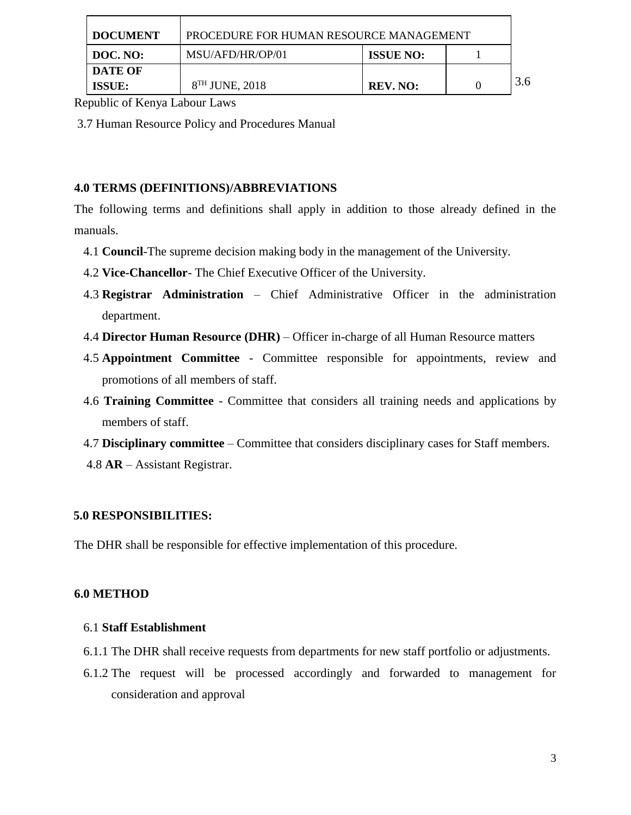| <b>DOCUMENT</b>          | PROCEDURE FOR HUMAN RESOURCE MANAGEMENT |                  |     |
|--------------------------|-----------------------------------------|------------------|-----|
| DOC. NO:                 | MSU/AFD/HR/OP/01                        | <b>ISSUE NO:</b> |     |
| DATE OF<br><b>ISSUE:</b> | $8TH$ JUNE, 2018                        | <b>REV. NO:</b>  | 3.6 |

Republic of Kenya Labour Laws

3.7 Human Resource Policy and Procedures Manual

#### **4.0 TERMS (DEFINITIONS)/ABBREVIATIONS**

The following terms and definitions shall apply in addition to those already defined in the manuals.

- 4.1 **Council**-The supreme decision making body in the management of the University.
- 4.2 **Vice-Chancellor** The Chief Executive Officer of the University.
- 4.3 **Registrar Administration** Chief Administrative Officer in the administration department.
- 4.4 **Director Human Resource (DHR)** Officer in-charge of all Human Resource matters
- 4.5 **Appointment Committee** Committee responsible for appointments, review and promotions of all members of staff.
- 4.6 **Training Committee** Committee that considers all training needs and applications by members of staff.
- 4.7 **Disciplinary committee** Committee that considers disciplinary cases for Staff members.
- 4.8 **AR** Assistant Registrar.

#### **5.0 RESPONSIBILITIES:**

The DHR shall be responsible for effective implementation of this procedure.

#### **6.0 METHOD**

#### 6.1 **Staff Establishment**

- 6.1.1 The DHR shall receive requests from departments for new staff portfolio or adjustments.
- 6.1.2 The request will be processed accordingly and forwarded to management for consideration and approval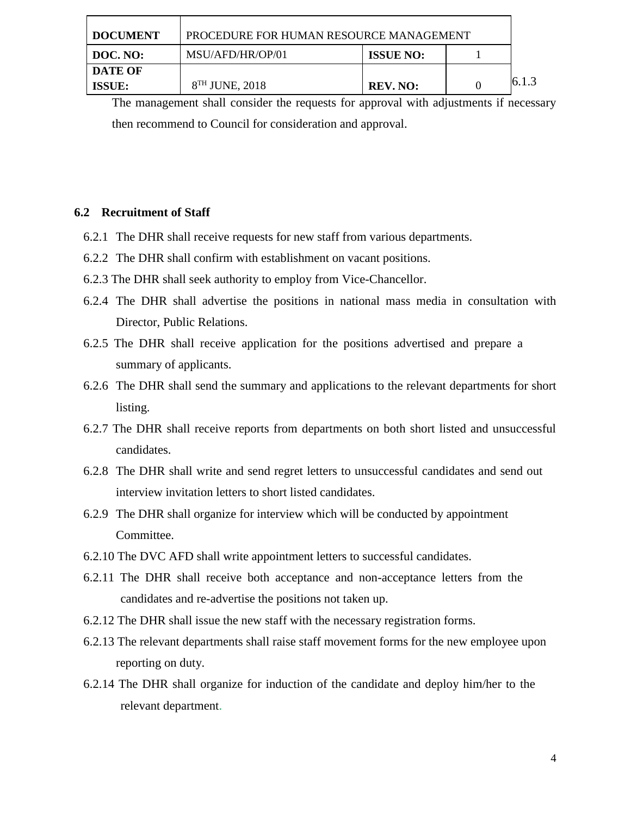| <b>I DOCUMENT</b> | PROCEDURE FOR HUMAN RESOURCE MANAGEMENT |                  |       |
|-------------------|-----------------------------------------|------------------|-------|
| DOC. NO:          | MSU/AFD/HR/OP/01                        | <b>ISSUE NO:</b> |       |
| DATE OF<br>ISSUE: | $8TH$ JUNE, 2018                        | REV. NO:         | 6.1.3 |

The management shall consider the requests for approval with adjustments if necessary then recommend to Council for consideration and approval.

#### **6.2 Recruitment of Staff**

- 6.2.1 The DHR shall receive requests for new staff from various departments.
- 6.2.2 The DHR shall confirm with establishment on vacant positions.
- 6.2.3 The DHR shall seek authority to employ from Vice-Chancellor.
- 6.2.4 The DHR shall advertise the positions in national mass media in consultation with Director, Public Relations.
- 6.2.5 The DHR shall receive application for the positions advertised and prepare a summary of applicants.
- 6.2.6 The DHR shall send the summary and applications to the relevant departments for short listing.
- 6.2.7 The DHR shall receive reports from departments on both short listed and unsuccessful candidates.
- 6.2.8 The DHR shall write and send regret letters to unsuccessful candidates and send out interview invitation letters to short listed candidates.
- 6.2.9 The DHR shall organize for interview which will be conducted by appointment Committee.
- 6.2.10 The DVC AFD shall write appointment letters to successful candidates.
- 6.2.11 The DHR shall receive both acceptance and non-acceptance letters from the candidates and re-advertise the positions not taken up.
- 6.2.12 The DHR shall issue the new staff with the necessary registration forms.
- 6.2.13 The relevant departments shall raise staff movement forms for the new employee upon reporting on duty.
- 6.2.14 The DHR shall organize for induction of the candidate and deploy him/her to the relevant department.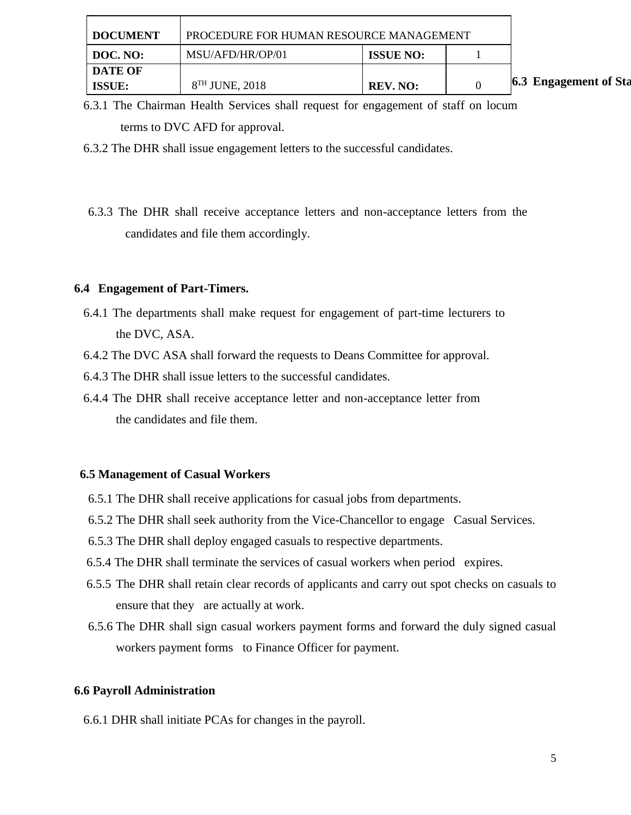| <b>DOCUMENT</b> | PROCEDURE FOR HUMAN RESOURCE MANAGEMENT |                  |  |                              |
|-----------------|-----------------------------------------|------------------|--|------------------------------|
| DOC. NO:        | MSU/AFD/HR/OP/01                        | <b>ISSUE NO:</b> |  |                              |
| <b>DATE OF</b>  |                                         |                  |  |                              |
| <b>ISSUE:</b>   | $8TH$ JUNE, 2018                        | <b>REV. NO:</b>  |  | <b>6.3 Engagement of Sta</b> |

6.3.1 The Chairman Health Services shall request for engagement of staff on locum terms to DVC AFD for approval.

6.3.2 The DHR shall issue engagement letters to the successful candidates.

6.3.3 The DHR shall receive acceptance letters and non-acceptance letters from the candidates and file them accordingly.

#### **6.4 Engagement of Part-Timers.**

- 6.4.1 The departments shall make request for engagement of part-time lecturers to the DVC, ASA.
- 6.4.2 The DVC ASA shall forward the requests to Deans Committee for approval.
- 6.4.3 The DHR shall issue letters to the successful candidates.
- 6.4.4 The DHR shall receive acceptance letter and non-acceptance letter from the candidates and file them.

#### **6.5 Management of Casual Workers**

- 6.5.1 The DHR shall receive applications for casual jobs from departments.
- 6.5.2 The DHR shall seek authority from the Vice-Chancellor to engage Casual Services.
- 6.5.3 The DHR shall deploy engaged casuals to respective departments.
- 6.5.4 The DHR shall terminate the services of casual workers when period expires.
- 6.5.5 The DHR shall retain clear records of applicants and carry out spot checks on casuals to ensure that they are actually at work.
- 6.5.6 The DHR shall sign casual workers payment forms and forward the duly signed casual workers payment forms to Finance Officer for payment.

#### **6.6 Payroll Administration**

6.6.1 DHR shall initiate PCAs for changes in the payroll.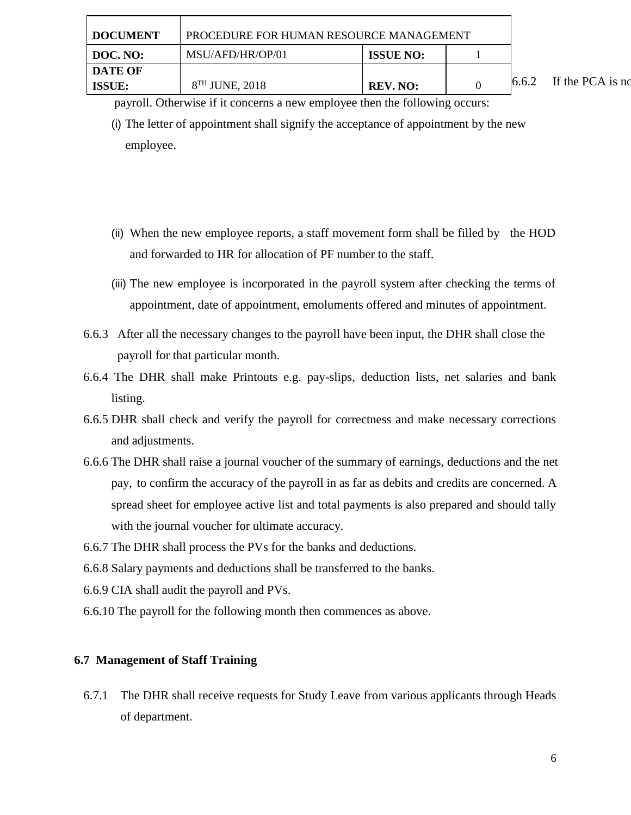payroll. Otherwise if it concerns a new employee then the following occurs:

- (i) The letter of appointment shall signify the acceptance of appointment by the new employee.
- (ii) When the new employee reports, a staff movement form shall be filled by the HOD and forwarded to HR for allocation of PF number to the staff.
- (iii) The new employee is incorporated in the payroll system after checking the terms of appointment, date of appointment, emoluments offered and minutes of appointment.
- 6.6.3 After all the necessary changes to the payroll have been input, the DHR shall close the payroll for that particular month.
- 6.6.4 The DHR shall make Printouts e.g. pay-slips, deduction lists, net salaries and bank listing.
- 6.6.5 DHR shall check and verify the payroll for correctness and make necessary corrections and adjustments.
- 6.6.6 The DHR shall raise a journal voucher of the summary of earnings, deductions and the net pay, to confirm the accuracy of the payroll in as far as debits and credits are concerned. A spread sheet for employee active list and total payments is also prepared and should tally with the journal voucher for ultimate accuracy.
- 6.6.7 The DHR shall process the PVs for the banks and deductions.
- 6.6.8 Salary payments and deductions shall be transferred to the banks.
- 6.6.9 CIA shall audit the payroll and PVs.
- 6.6.10 The payroll for the following month then commences as above.

## **6.7 Management of Staff Training**

6.7.1 The DHR shall receive requests for Study Leave from various applicants through Heads of department.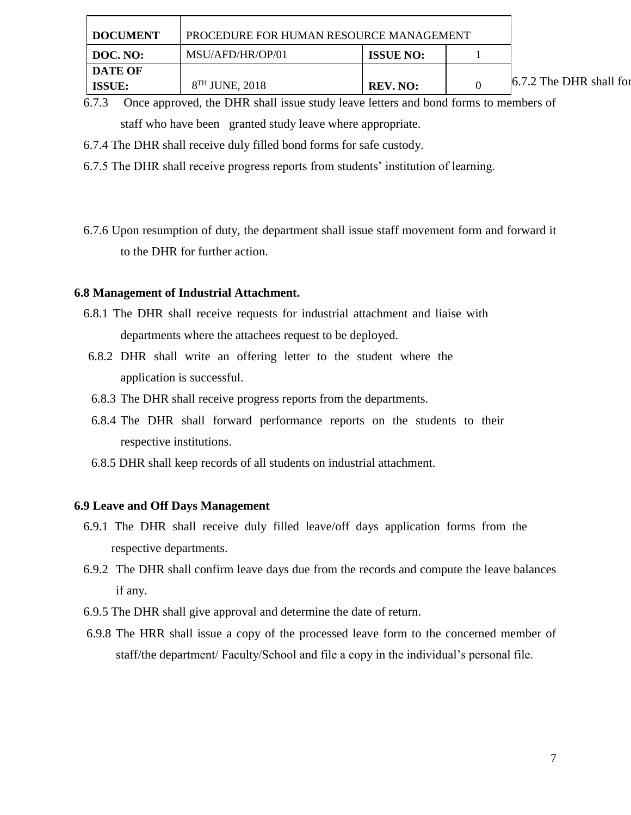| <b>DOCUMENT</b>                 | PROCEDURE FOR HUMAN RESOURCE MANAGEMENT |                  |  |                         |
|---------------------------------|-----------------------------------------|------------------|--|-------------------------|
| DOC. NO:                        | MSU/AFD/HR/OP/01                        | <b>ISSUE NO:</b> |  |                         |
| <b>DATE OF</b><br><b>ISSUE:</b> | $8TH$ JUNE, 2018                        | <b>REV. NO:</b>  |  | 6.7.2 The DHR shall for |

6.7.3 Once approved, the DHR shall issue study leave letters and bond forms to members of staff who have been granted study leave where appropriate.

- 6.7.4 The DHR shall receive duly filled bond forms for safe custody.
- 6.7.5 The DHR shall receive progress reports from students' institution of learning.
- 6.7.6 Upon resumption of duty, the department shall issue staff movement form and forward it to the DHR for further action.

#### **6.8 Management of Industrial Attachment.**

- 6.8.1 The DHR shall receive requests for industrial attachment and liaise with departments where the attachees request to be deployed.
- 6.8.2 DHR shall write an offering letter to the student where the application is successful.
- 6.8.3 The DHR shall receive progress reports from the departments.
- 6.8.4 The DHR shall forward performance reports on the students to their respective institutions.
- 6.8.5 DHR shall keep records of all students on industrial attachment.

#### **6.9 Leave and Off Days Management**

- 6.9.1 The DHR shall receive duly filled leave/off days application forms from the respective departments.
- 6.9.2 The DHR shall confirm leave days due from the records and compute the leave balances if any.
- 6.9.5 The DHR shall give approval and determine the date of return.
- 6.9.8 The HRR shall issue a copy of the processed leave form to the concerned member of staff/the department/ Faculty/School and file a copy in the individual's personal file.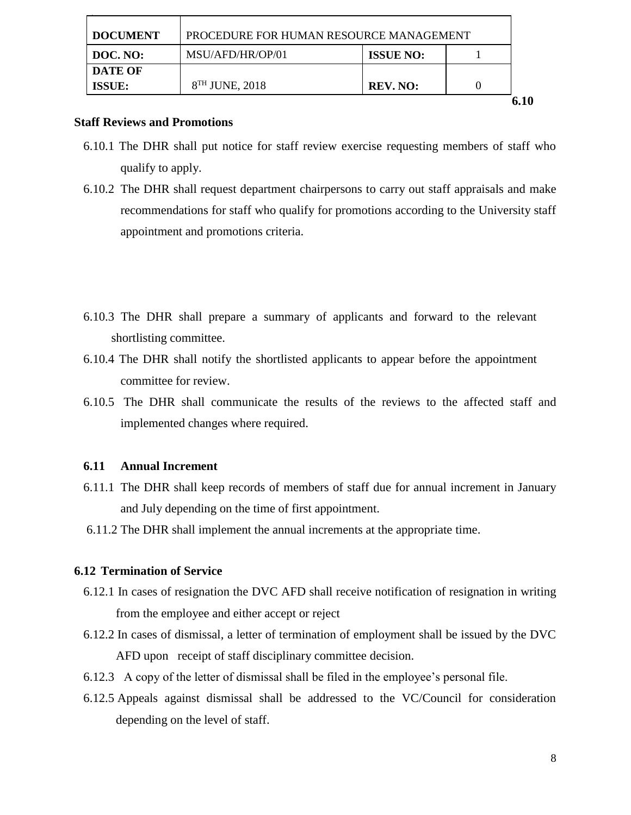| <b>DOCUMENT</b> | PROCEDURE FOR HUMAN RESOURCE MANAGEMENT |                  |  |
|-----------------|-----------------------------------------|------------------|--|
| DOC. NO:        | MSU/AFD/HR/OP/01                        | <b>ISSUE NO:</b> |  |
| <b>DATE OF</b>  |                                         |                  |  |
| <b>ISSUE:</b>   | $8TH$ JUNE, 2018                        | <b>REV. NO:</b>  |  |
|                 |                                         |                  |  |

#### **Staff Reviews and Promotions**

- 6.10.1 The DHR shall put notice for staff review exercise requesting members of staff who qualify to apply.
- 6.10.2 The DHR shall request department chairpersons to carry out staff appraisals and make recommendations for staff who qualify for promotions according to the University staff appointment and promotions criteria.
- 6.10.3 The DHR shall prepare a summary of applicants and forward to the relevant shortlisting committee.
- 6.10.4 The DHR shall notify the shortlisted applicants to appear before the appointment committee for review.
- 6.10.5 The DHR shall communicate the results of the reviews to the affected staff and implemented changes where required.

#### **6.11 Annual Increment**

- 6.11.1 The DHR shall keep records of members of staff due for annual increment in January and July depending on the time of first appointment.
- 6.11.2 The DHR shall implement the annual increments at the appropriate time.

## **6.12 Termination of Service**

- 6.12.1 In cases of resignation the DVC AFD shall receive notification of resignation in writing from the employee and either accept or reject
- 6.12.2 In cases of dismissal, a letter of termination of employment shall be issued by the DVC AFD upon receipt of staff disciplinary committee decision.
- 6.12.3 A copy of the letter of dismissal shall be filed in the employee's personal file.
- 6.12.5 Appeals against dismissal shall be addressed to the VC/Council for consideration depending on the level of staff.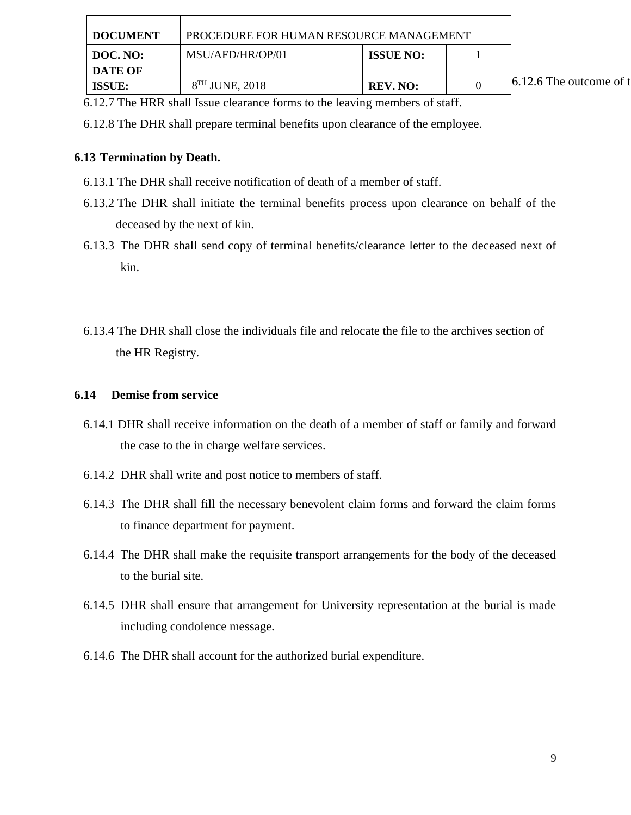| <b>DOCUMENT</b> | PROCEDURE FOR HUMAN RESOURCE MANAGEMENT |                  |                           |
|-----------------|-----------------------------------------|------------------|---------------------------|
| DOC. NO:        | MSU/AFD/HR/OP/01                        | <b>ISSUE NO:</b> |                           |
| <b>DATE OF</b>  |                                         |                  |                           |
| <b>ISSUE:</b>   | $8TH$ JUNE, 2018                        | <b>REV. NO:</b>  | 6.12.6 The outcome of $t$ |

6.12.7 The HRR shall Issue clearance forms to the leaving members of staff.

6.12.8 The DHR shall prepare terminal benefits upon clearance of the employee.

## **6.13 Termination by Death.**

- 6.13.1 The DHR shall receive notification of death of a member of staff.
- 6.13.2 The DHR shall initiate the terminal benefits process upon clearance on behalf of the deceased by the next of kin.
- 6.13.3 The DHR shall send copy of terminal benefits/clearance letter to the deceased next of kin.
- 6.13.4 The DHR shall close the individuals file and relocate the file to the archives section of the HR Registry.

#### **6.14 Demise from service**

- 6.14.1 DHR shall receive information on the death of a member of staff or family and forward the case to the in charge welfare services.
- 6.14.2 DHR shall write and post notice to members of staff.
- 6.14.3 The DHR shall fill the necessary benevolent claim forms and forward the claim forms to finance department for payment.
- 6.14.4 The DHR shall make the requisite transport arrangements for the body of the deceased to the burial site.
- 6.14.5 DHR shall ensure that arrangement for University representation at the burial is made including condolence message.
- 6.14.6 The DHR shall account for the authorized burial expenditure.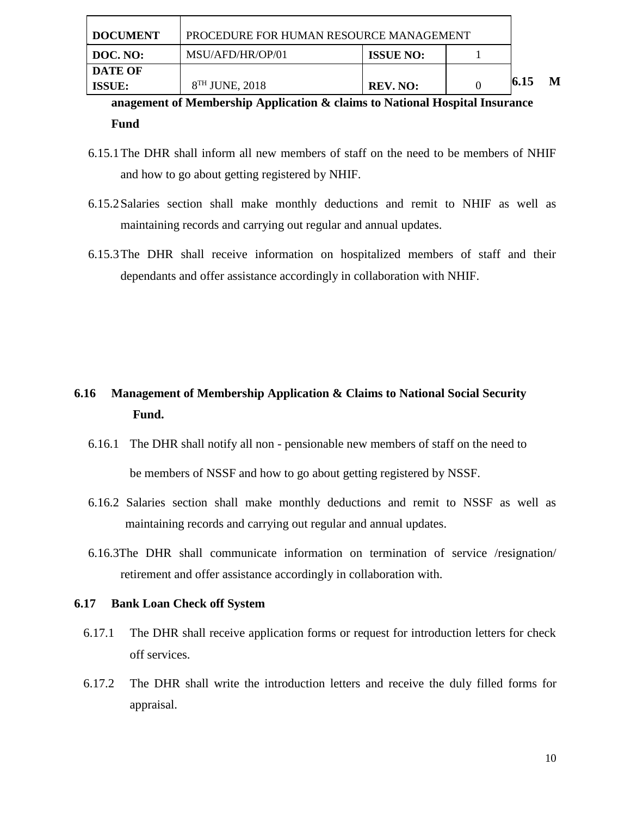| <b>DOCUMENT</b> | PROCEDURE FOR HUMAN RESOURCE MANAGEMENT |                  |  |      |  |
|-----------------|-----------------------------------------|------------------|--|------|--|
| DOC. NO:        | MSU/AFD/HR/OP/01                        | <b>ISSUE NO:</b> |  |      |  |
| DATE OF         |                                         |                  |  |      |  |
| <b>ISSUE:</b>   | $8TH$ JUNE, 2018                        | <b>REV. NO:</b>  |  | 6.15 |  |

**anagement of Membership Application & claims to National Hospital Insurance Fund** 

- 6.15.1The DHR shall inform all new members of staff on the need to be members of NHIF and how to go about getting registered by NHIF.
- 6.15.2Salaries section shall make monthly deductions and remit to NHIF as well as maintaining records and carrying out regular and annual updates.
- 6.15.3The DHR shall receive information on hospitalized members of staff and their dependants and offer assistance accordingly in collaboration with NHIF.

# **6.16 Management of Membership Application & Claims to National Social Security Fund.**

- 6.16.1 The DHR shall notify all non pensionable new members of staff on the need to be members of NSSF and how to go about getting registered by NSSF.
- 6.16.2 Salaries section shall make monthly deductions and remit to NSSF as well as maintaining records and carrying out regular and annual updates.
- 6.16.3The DHR shall communicate information on termination of service /resignation/ retirement and offer assistance accordingly in collaboration with.

## **6.17 Bank Loan Check off System**

- 6.17.1 The DHR shall receive application forms or request for introduction letters for check off services.
- 6.17.2 The DHR shall write the introduction letters and receive the duly filled forms for appraisal.